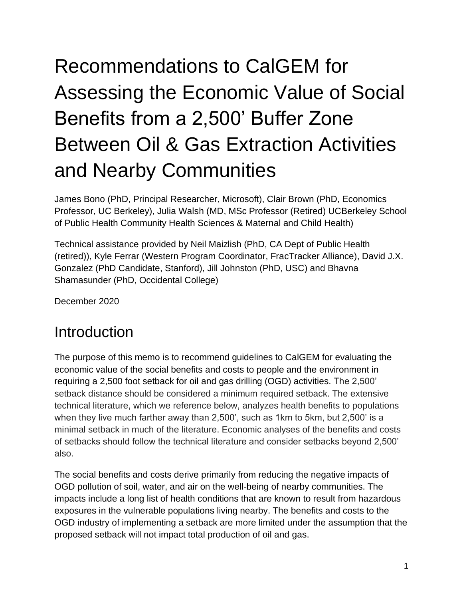# Recommendations to CalGEM for Assessing the Economic Value of Social Benefits from a 2,500' Buffer Zone Between Oil & Gas Extraction Activities and Nearby Communities

James Bono (PhD, Principal Researcher, Microsoft), Clair Brown (PhD, Economics Professor, UC Berkeley), Julia Walsh (MD, MSc Professor (Retired) UCBerkeley School of Public Health Community Health Sciences & Maternal and Child Health)

Technical assistance provided by Neil Maizlish (PhD, CA Dept of Public Health (retired)), Kyle Ferrar (Western Program Coordinator, FracTracker Alliance), David J.X. Gonzalez (PhD Candidate, Stanford), Jill Johnston (PhD, USC) and Bhavna Shamasunder (PhD, Occidental College)

December 2020

### **Introduction**

The purpose of this memo is to recommend guidelines to CalGEM for evaluating the economic value of the social benefits and costs to people and the environment in requiring a 2,500 foot setback for oil and gas drilling (OGD) activities. The 2,500' setback distance should be considered a minimum required setback. The extensive technical literature, which we reference below, analyzes health benefits to populations when they live much farther away than 2,500', such as 1km to 5km, but 2,500' is a minimal setback in much of the literature. Economic analyses of the benefits and costs of setbacks should follow the technical literature and consider setbacks beyond 2,500' also.

The social benefits and costs derive primarily from reducing the negative impacts of OGD pollution of soil, water, and air on the well-being of nearby communities. The impacts include a long list of health conditions that are known to result from hazardous exposures in the vulnerable populations living nearby. The benefits and costs to the OGD industry of implementing a setback are more limited under the assumption that the proposed setback will not impact total production of oil and gas.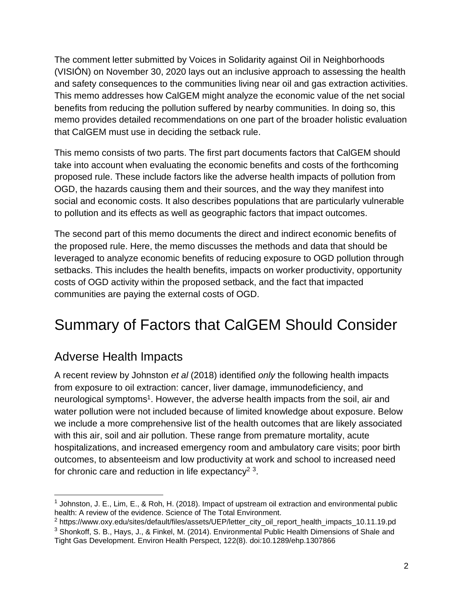The comment letter submitted by Voices in Solidarity against Oil in Neighborhoods (VISIÓN) on November 30, 2020 lays out an inclusive approach to assessing the health and safety consequences to the communities living near oil and gas extraction activities. This memo addresses how CalGEM might analyze the economic value of the net social benefits from reducing the pollution suffered by nearby communities. In doing so, this memo provides detailed recommendations on one part of the broader holistic evaluation that CalGEM must use in deciding the setback rule.

This memo consists of two parts. The first part documents factors that CalGEM should take into account when evaluating the economic benefits and costs of the forthcoming proposed rule. These include factors like the adverse health impacts of pollution from OGD, the hazards causing them and their sources, and the way they manifest into social and economic costs. It also describes populations that are particularly vulnerable to pollution and its effects as well as geographic factors that impact outcomes.

The second part of this memo documents the direct and indirect economic benefits of the proposed rule. Here, the memo discusses the methods and data that should be leveraged to analyze economic benefits of reducing exposure to OGD pollution through setbacks. This includes the health benefits, impacts on worker productivity, opportunity costs of OGD activity within the proposed setback, and the fact that impacted communities are paying the external costs of OGD.

# Summary of Factors that CalGEM Should Consider

### Adverse Health Impacts

A recent review by Johnston *et al* (2018) identified *only* the following health impacts from exposure to oil extraction: cancer, liver damage, immunodeficiency, and neurological symptoms<sup>1</sup>. However, the adverse health impacts from the soil, air and water pollution were not included because of limited knowledge about exposure. Below we include a more comprehensive list of the health outcomes that are likely associated with this air, soil and air pollution. These range from premature mortality, acute hospitalizations, and increased emergency room and ambulatory care visits; poor birth outcomes, to absenteeism and low productivity at work and school to increased need for chronic care and reduction in life expectancy<sup>2</sup><sup>3</sup>.

<sup>&</sup>lt;sup>1</sup> Johnston, J. E., Lim, E., & Roh, H. (2018). Impact of upstream oil extraction and environmental public health: A review of the evidence. Science of The Total Environment.

<sup>&</sup>lt;sup>2</sup> https://www.oxy.edu/sites/default/files/assets/UEP/letter\_city\_oil\_report\_health\_impacts\_10.11.19.pd <sup>3</sup> Shonkoff, S. B., Hays, J., & Finkel, M. (2014). Environmental Public Health Dimensions of Shale and Tight Gas Development. Environ Health Perspect, 122(8). doi:10.1289/ehp.1307866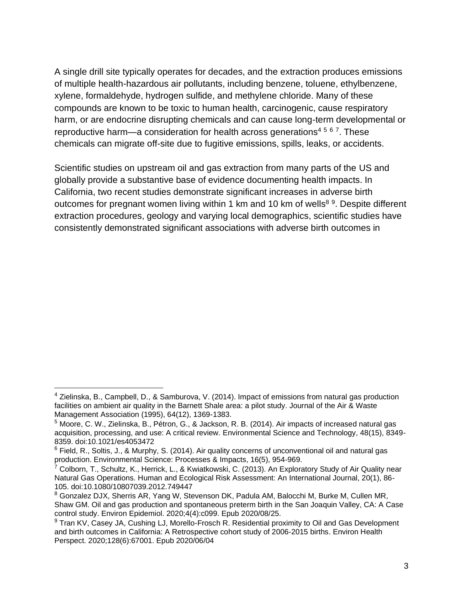A single drill site typically operates for decades, and the extraction produces emissions of multiple health-hazardous air pollutants, including benzene, toluene, ethylbenzene, xylene, formaldehyde, hydrogen sulfide, and methylene chloride. Many of these compounds are known to be toxic to human health, carcinogenic, cause respiratory harm, or are endocrine disrupting chemicals and can cause long-term developmental or reproductive harm—a consideration for health across generations<sup>4567</sup>. These chemicals can migrate off-site due to fugitive emissions, spills, leaks, or accidents.

Scientific studies on upstream oil and gas extraction from many parts of the US and globally provide a substantive base of evidence documenting health impacts. In California, two recent studies demonstrate significant increases in adverse birth outcomes for pregnant women living within 1 km and 10 km of wells<sup>89</sup>. Despite different extraction procedures, geology and varying local demographics, scientific studies have consistently demonstrated significant associations with adverse birth outcomes in

<sup>4</sup> Zielinska, B., Campbell, D., & Samburova, V. (2014). Impact of emissions from natural gas production facilities on ambient air quality in the Barnett Shale area: a pilot study. Journal of the Air & Waste Management Association (1995), 64(12), 1369-1383.

<sup>5</sup> Moore, C. W., Zielinska, B., Pétron, G., & Jackson, R. B. (2014). Air impacts of increased natural gas acquisition, processing, and use: A critical review. Environmental Science and Technology, 48(15), 8349- 8359. doi:10.1021/es4053472

 $6$  Field, R., Soltis, J., & Murphy, S. (2014). Air quality concerns of unconventional oil and natural gas production. Environmental Science: Processes & Impacts, 16(5), 954-969.

<sup>&</sup>lt;sup>7</sup> Colborn, T., Schultz, K., Herrick, L., & Kwiatkowski, C. (2013). An Exploratory Study of Air Quality near Natural Gas Operations. Human and Ecological Risk Assessment: An International Journal, 20(1), 86- 105. doi:10.1080/10807039.2012.749447

<sup>&</sup>lt;sup>8</sup> Gonzalez DJX, Sherris AR, Yang W, Stevenson DK, Padula AM, Balocchi M, Burke M, Cullen MR, Shaw GM. Oil and gas production and spontaneous preterm birth in the San Joaquin Valley, CA: A Case control study. Environ Epidemiol. 2020;4(4):c099. Epub 2020/08/25.

<sup>&</sup>lt;sup>9</sup> Tran KV, Casey JA, Cushing LJ, Morello-Frosch R. Residential proximity to Oil and Gas Development and birth outcomes in California: A Retrospective cohort study of 2006-2015 births. Environ Health Perspect. 2020;128(6):67001. Epub 2020/06/04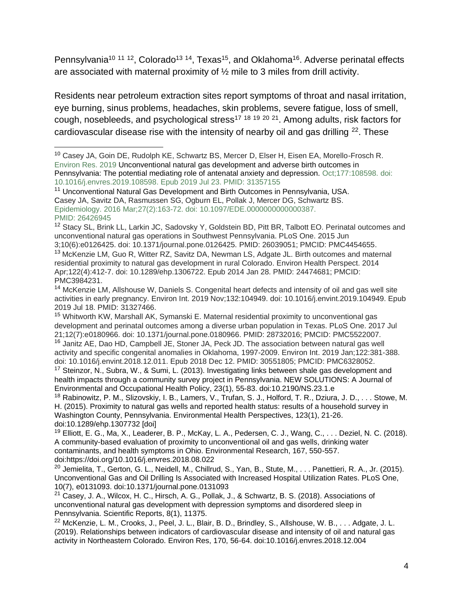Pennsylvania<sup>10 11 12</sup>, Colorado<sup>13 14</sup>, Texas<sup>15</sup>, and Oklahoma<sup>16</sup>. Adverse perinatal effects are associated with maternal proximity of ½ mile to 3 miles from drill activity.

Residents near petroleum extraction sites report symptoms of throat and nasal irritation, eye burning, sinus problems, headaches, skin problems, severe fatigue, loss of smell, cough, nosebleeds, and psychological stress<sup>17</sup> <sup>18</sup> <sup>19</sup> <sup>20</sup> <sup>21</sup>. Among adults, risk factors for cardiovascular disease rise with the intensity of nearby oil and gas drilling <sup>22</sup>. These

<sup>&</sup>lt;sup>10</sup> Casey JA, Goin DE, Rudolph KE, Schwartz BS, Mercer D, Elser H, Eisen EA, Morello-Frosch R, Environ Res. 2019 [Unconventional natural gas development and adverse birth outcomes in](https://pubmed.ncbi.nlm.nih.gov/31357155/)  [Pennsylvania: The potential mediating role of antenatal anxiety and depression. O](https://pubmed.ncbi.nlm.nih.gov/31357155/)ct;177:108598. doi: 10.1016/j.envres.2019.108598. Epub 2019 Jul 23. PMID: 31357155

<sup>&</sup>lt;sup>11</sup> [Unconventional Natural Gas Development and Birth Outcomes in Pennsylvania, USA.](https://pubmed.ncbi.nlm.nih.gov/26426945/) Casey JA, Savitz DA, Rasmussen SG, Ogburn EL, Pollak J, Mercer DG, Schwartz BS. Epidemiology. 2016 Mar;27(2):163-72. doi: 10.1097/EDE.0000000000000387. PMID: 26426945

<sup>&</sup>lt;sup>12</sup> Stacy SL, Brink LL, Larkin JC, Sadovsky Y, Goldstein BD, Pitt BR, Talbott EO. Perinatal outcomes and unconventional natural gas operations in Southwest Pennsylvania. PLoS One. 2015 Jun 3;10(6):e0126425. doi: 10.1371/journal.pone.0126425. PMID: 26039051; PMCID: PMC4454655.

<sup>&</sup>lt;sup>13</sup> McKenzie LM, Guo R, Witter RZ, Savitz DA, Newman LS, Adgate JL. Birth outcomes and maternal residential proximity to natural gas development in rural Colorado. Environ Health Perspect. 2014 Apr;122(4):412-7. doi: 10.1289/ehp.1306722. Epub 2014 Jan 28. PMID: 24474681; PMCID: PMC3984231.

<sup>&</sup>lt;sup>14</sup> McKenzie LM, Allshouse W, Daniels S. Congenital heart defects and intensity of oil and gas well site activities in early pregnancy. Environ Int. 2019 Nov;132:104949. doi: 10.1016/j.envint.2019.104949. Epub 2019 Jul 18. PMID: 31327466.

<sup>&</sup>lt;sup>15</sup> Whitworth KW, Marshall AK, Symanski E. Maternal residential proximity to unconventional gas development and perinatal outcomes among a diverse urban population in Texas. PLoS One. 2017 Jul 21;12(7):e0180966. doi: 10.1371/journal.pone.0180966. PMID: 28732016; PMCID: PMC5522007.

<sup>&</sup>lt;sup>16</sup> Janitz AE, Dao HD, Campbell JE, Stoner JA, Peck JD. The association between natural gas well activity and specific congenital anomalies in Oklahoma, 1997-2009. Environ Int. 2019 Jan;122:381-388. doi: 10.1016/j.envint.2018.12.011. Epub 2018 Dec 12. PMID: 30551805; PMCID: PMC6328052. <sup>17</sup> Steinzor, N., Subra, W., & Sumi, L. (2013). Investigating links between shale gas development and

health impacts through a community survey project in Pennsylvania. NEW SOLUTIONS: A Journal of Environmental and Occupational Health Policy, 23(1), 55-83. doi:10.2190/NS.23.1.e

<sup>18</sup> Rabinowitz, P. M., Slizovskiy, I. B., Lamers, V., Trufan, S. J., Holford, T. R., Dziura, J. D., . . . Stowe, M. H. (2015). Proximity to natural gas wells and reported health status: results of a household survey in Washington County, Pennsylvania. Environmental Health Perspectives, 123(1), 21-26. doi:10.1289/ehp.1307732 [doi]

 $19$  Elliott, E. G., Ma, X., Leaderer, B. P., McKay, L. A., Pedersen, C. J., Wang, C., ... Deziel, N. C. (2018). A community-based evaluation of proximity to unconventional oil and gas wells, drinking water contaminants, and health symptoms in Ohio. Environmental Research, 167, 550-557. doi:https://doi.org/10.1016/j.envres.2018.08.022

<sup>&</sup>lt;sup>20</sup> Jemielita, T., Gerton, G. L., Neidell, M., Chillrud, S., Yan, B., Stute, M., ... Panettieri, R. A., Jr. (2015). Unconventional Gas and Oil Drilling Is Associated with Increased Hospital Utilization Rates. PLoS One, 10(7), e0131093. doi:10.1371/journal.pone.0131093

<sup>21</sup> Casey, J. A., Wilcox, H. C., Hirsch, A. G., Pollak, J., & Schwartz, B. S. (2018). Associations of unconventional natural gas development with depression symptoms and disordered sleep in Pennsylvania. Scientific Reports, 8(1), 11375.

<sup>&</sup>lt;sup>22</sup> McKenzie, L. M., Crooks, J., Peel, J. L., Blair, B. D., Brindley, S., Allshouse, W. B., . . . Adgate, J. L. (2019). Relationships between indicators of cardiovascular disease and intensity of oil and natural gas activity in Northeastern Colorado. Environ Res, 170, 56-64. doi:10.1016/j.envres.2018.12.004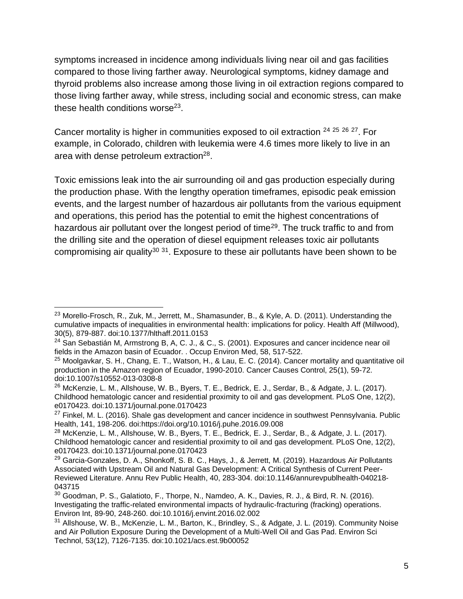symptoms increased in incidence among individuals living near oil and gas facilities compared to those living farther away. Neurological symptoms, kidney damage and thyroid problems also increase among those living in oil extraction regions compared to those living farther away, while stress, including social and economic stress, can make these health conditions worse<sup>23</sup>.

Cancer mortality is higher in communities exposed to oil extraction <sup>24</sup> <sup>25</sup> <sup>26</sup> <sup>27</sup>. For example, in Colorado, children with leukemia were 4.6 times more likely to live in an area with dense petroleum extraction $^{28}$ .

Toxic emissions leak into the air surrounding oil and gas production especially during the production phase. With the lengthy operation timeframes, episodic peak emission events, and the largest number of hazardous air pollutants from the various equipment and operations, this period has the potential to emit the highest concentrations of hazardous air pollutant over the longest period of time<sup>29</sup>. The truck traffic to and from the drilling site and the operation of diesel equipment releases toxic air pollutants compromising air quality<sup>30 31</sup>. Exposure to these air pollutants have been shown to be

<sup>&</sup>lt;sup>23</sup> Morello-Frosch, R., Zuk, M., Jerrett, M., Shamasunder, B., & Kyle, A. D. (2011). Understanding the cumulative impacts of inequalities in environmental health: implications for policy. Health Aff (Millwood), 30(5), 879-887. doi:10.1377/hlthaff.2011.0153

<sup>&</sup>lt;sup>24</sup> San Sebastián M, Armstrong B, A, C. J., & C., S. (2001). Exposures and cancer incidence near oil fields in the Amazon basin of Ecuador. . Occup Environ Med, 58, 517-522.

 $25$  Moolgavkar, S. H., Chang, E. T., Watson, H., & Lau, E. C. (2014). Cancer mortality and quantitative oil production in the Amazon region of Ecuador, 1990-2010. Cancer Causes Control, 25(1), 59-72. doi:10.1007/s10552-013-0308-8

<sup>&</sup>lt;sup>26</sup> McKenzie, L. M., Allshouse, W. B., Byers, T. E., Bedrick, E. J., Serdar, B., & Adgate, J. L. (2017). Childhood hematologic cancer and residential proximity to oil and gas development. PLoS One, 12(2), e0170423. doi:10.1371/journal.pone.0170423

 $27$  Finkel, M. L. (2016). Shale gas development and cancer incidence in southwest Pennsylvania. Public Health, 141, 198-206. doi:https://doi.org/10.1016/j.puhe.2016.09.008

<sup>&</sup>lt;sup>28</sup> McKenzie, L. M., Allshouse, W. B., Byers, T. E., Bedrick, E. J., Serdar, B., & Adgate, J. L. (2017). Childhood hematologic cancer and residential proximity to oil and gas development. PLoS One, 12(2), e0170423. doi:10.1371/journal.pone.0170423

<sup>&</sup>lt;sup>29</sup> Garcia-Gonzales, D. A., Shonkoff, S. B. C., Hays, J., & Jerrett, M. (2019). Hazardous Air Pollutants Associated with Upstream Oil and Natural Gas Development: A Critical Synthesis of Current Peer-Reviewed Literature. Annu Rev Public Health, 40, 283-304. doi:10.1146/annurevpublhealth-040218- 043715

 $30$  Goodman, P. S., Galatioto, F., Thorpe, N., Namdeo, A. K., Davies, R. J., & Bird, R. N. (2016). Investigating the traffic-related environmental impacts of hydraulic-fracturing (fracking) operations. Environ Int, 89-90, 248-260. doi:10.1016/j.envint.2016.02.002

<sup>31</sup> Allshouse, W. B., McKenzie, L. M., Barton, K., Brindley, S., & Adgate, J. L. (2019). Community Noise and Air Pollution Exposure During the Development of a Multi-Well Oil and Gas Pad. Environ Sci Technol, 53(12), 7126-7135. doi:10.1021/acs.est.9b00052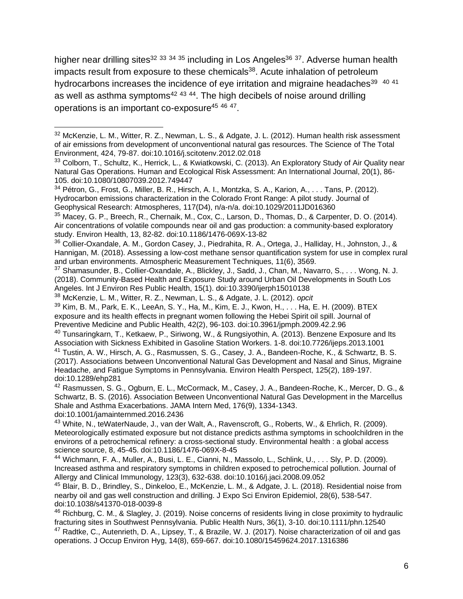higher near drilling sites<sup>32 33 34 35</sup> including in Los Angeles<sup>36 37</sup>. Adverse human health impacts result from exposure to these chemicals $38$ . Acute inhalation of petroleum hydrocarbons increases the incidence of eye irritation and migraine headaches $^{39}$   $^{40}$   $^{41}$ as well as asthma symptoms<sup>42 43 44</sup>. The high decibels of noise around drilling operations is an important co-exposure<sup>45 46 47</sup>.

<sup>40</sup> Tunsaringkarn, T., Ketkaew, P., Siriwong, W., & Rungsiyothin, A. (2013). Benzene Exposure and Its Association with Sickness Exhibited in Gasoline Station Workers. 1-8. doi:10.7726/ijeps.2013.1001 <sup>41</sup> Tustin, A. W., Hirsch, A. G., Rasmussen, S. G., Casey, J. A., Bandeen-Roche, K., & Schwartz, B. S. (2017). Associations between Unconventional Natural Gas Development and Nasal and Sinus, Migraine Headache, and Fatigue Symptoms in Pennsylvania. Environ Health Perspect, 125(2), 189-197. doi:10.1289/ehp281

<sup>42</sup> Rasmussen, S. G., Ogburn, E. L., McCormack, M., Casey, J. A., Bandeen-Roche, K., Mercer, D. G., & Schwartz, B. S. (2016). Association Between Unconventional Natural Gas Development in the Marcellus Shale and Asthma Exacerbations. JAMA Intern Med, 176(9), 1334-1343. doi:10.1001/jamainternmed.2016.2436

<sup>43</sup> White, N., teWaterNaude, J., van der Walt, A., Ravenscroft, G., Roberts, W., & Ehrlich, R. (2009). Meteorologically estimated exposure but not distance predicts asthma symptoms in schoolchildren in the environs of a petrochemical refinery: a cross-sectional study. Environmental health : a global access science source, 8, 45-45. doi:10.1186/1476-069X-8-45

<sup>44</sup> Wichmann, F. A., Muller, A., Busi, L. E., Cianni, N., Massolo, L., Schlink, U., . . . Sly, P. D. (2009). Increased asthma and respiratory symptoms in children exposed to petrochemical pollution. Journal of Allergy and Clinical Immunology, 123(3), 632-638. doi:10.1016/j.jaci.2008.09.052

<sup>45</sup> Blair, B. D., Brindley, S., Dinkeloo, E., McKenzie, L. M., & Adgate, J. L. (2018). Residential noise from nearby oil and gas well construction and drilling. J Expo Sci Environ Epidemiol, 28(6), 538-547. doi:10.1038/s41370-018-0039-8

<sup>46</sup> Richburg, C. M., & Slagley, J. (2019). Noise concerns of residents living in close proximity to hydraulic fracturing sites in Southwest Pennsylvania. Public Health Nurs, 36(1), 3-10. doi:10.1111/phn.12540 <sup>47</sup> Radtke, C., Autenrieth, D. A., Lipsey, T., & Brazile, W. J. (2017). Noise characterization of oil and gas operations. J Occup Environ Hyg, 14(8), 659-667. doi:10.1080/15459624.2017.1316386

<sup>&</sup>lt;sup>32</sup> McKenzie, L. M., Witter, R. Z., Newman, L. S., & Adgate, J. L. (2012). Human health risk assessment of air emissions from development of unconventional natural gas resources. The Science of The Total Environment, 424, 79-87. doi:10.1016/j.scitotenv.2012.02.018

<sup>33</sup> Colborn, T., Schultz, K., Herrick, L., & Kwiatkowski, C. (2013). An Exploratory Study of Air Quality near Natural Gas Operations. Human and Ecological Risk Assessment: An International Journal, 20(1), 86- 105. doi:10.1080/10807039.2012.749447

 $34$  Pétron, G., Frost, G., Miller, B. R., Hirsch, A. I., Montzka, S. A., Karion, A., . . . Tans, P. (2012). Hydrocarbon emissions characterization in the Colorado Front Range: A pilot study. Journal of Geophysical Research: Atmospheres, 117(D4), n/a-n/a. doi:10.1029/2011JD016360

<sup>35</sup> Macey, G. P., Breech, R., Chernaik, M., Cox, C., Larson, D., Thomas, D., & Carpenter, D. O. (2014). Air concentrations of volatile compounds near oil and gas production: a community-based exploratory study. Environ Health, 13, 82-82. doi:10.1186/1476-069X-13-82

<sup>36</sup> Collier-Oxandale, A. M., Gordon Casey, J., Piedrahita, R. A., Ortega, J., Halliday, H., Johnston, J., & Hannigan, M. (2018). Assessing a low-cost methane sensor quantification system for use in complex rural and urban environments. Atmospheric Measurement Techniques, 11(6), 3569.

<sup>37</sup> Shamasunder, B., Collier-Oxandale, A., Blickley, J., Sadd, J., Chan, M., Navarro, S., . . . Wong, N. J. (2018). Community-Based Health and Exposure Study around Urban Oil Developments in South Los Angeles. Int J Environ Res Public Health, 15(1). doi:10.3390/ijerph15010138

<sup>38</sup> McKenzie, L. M., Witter, R. Z., Newman, L. S., & Adgate, J. L. (2012). *opcit*

<sup>39</sup> Kim, B. M., Park, E. K., LeeAn, S. Y., Ha, M., Kim, E. J., Kwon, H., . . . Ha, E. H. (2009). BTEX exposure and its health effects in pregnant women following the Hebei Spirit oil spill. Journal of Preventive Medicine and Public Health, 42(2), 96-103. doi:10.3961/jpmph.2009.42.2.96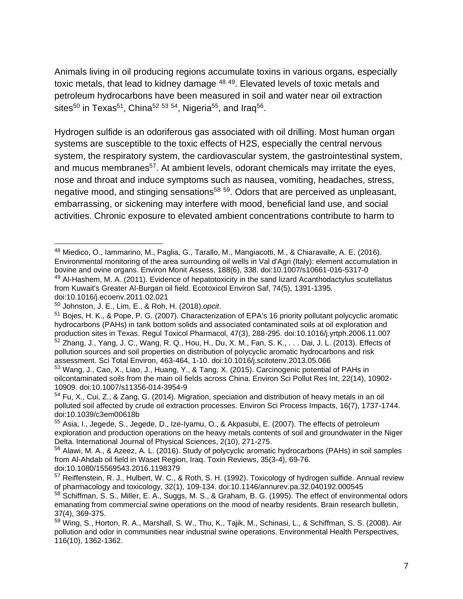Animals living in oil producing regions accumulate toxins in various organs, especially toxic metals, that lead to kidney damage <sup>48 49</sup>. Elevated levels of toxic metals and petroleum hydrocarbons have been measured in soil and water near oil extraction sites $^{50}$  in Texas $^{51}$ , China $^{52}$   $^{53}$   $^{54}$ , Nigeria $^{55}$ , and Iraq $^{56}$ .

Hydrogen sulfide is an odoriferous gas associated with oil drilling. Most human organ systems are susceptible to the toxic effects of H2S, especially the central nervous system, the respiratory system, the cardiovascular system, the gastrointestinal system, and mucus membranes<sup>57</sup>. At ambient levels, odorant chemicals may irritate the eyes, nose and throat and induce symptoms such as nausea, vomiting, headaches, stress, negative mood, and stinging sensations<sup>58 59</sup>. Odors that are perceived as unpleasant, embarrassing, or sickening may interfere with mood, beneficial land use, and social activities. Chronic exposure to elevated ambient concentrations contribute to harm to

<sup>48</sup> Miedico, O., Iammarino, M., Paglia, G., Tarallo, M., Mangiacotti, M., & Chiaravalle, A. E. (2016). Environmental monitoring of the area surrounding oil wells in Val d'Agri (Italy): element accumulation in bovine and ovine organs. Environ Monit Assess, 188(6), 338. doi:10.1007/s10661-016-5317-0 <sup>49</sup> Al-Hashem, M. A. (2011). Evidence of hepatotoxicity in the sand lizard Acanthodactylus scutellatus from Kuwait's Greater Al-Burgan oil field. Ecotoxicol Environ Saf, 74(5), 1391-1395. doi:10.1016/j.ecoenv.2011.02.021

<sup>50</sup> Johnston, J. E., Lim, E., & Roh, H. (2018).*opcit*.

<sup>51</sup> Bojes, H. K., & Pope, P. G. (2007). Characterization of EPA's 16 priority pollutant polycyclic aromatic hydrocarbons (PAHs) in tank bottom solids and associated contaminated soils at oil exploration and production sites in Texas. Regul Toxicol Pharmacol, 47(3), 288-295. doi:10.1016/j.yrtph.2006.11.007 <sup>52</sup> Zhang, J., Yang, J. C., Wang, R. Q., Hou, H., Du, X. M., Fan, S. K., . . . Dai, J. L. (2013). Effects of pollution sources and soil properties on distribution of polycyclic aromatic hydrocarbons and risk

assessment. Sci Total Environ, 463-464, 1-10. doi:10.1016/j.scitotenv.2013.05.066 <sup>53</sup> Wang, J., Cao, X., Liao, J., Huang, Y., & Tang, X. (2015). Carcinogenic potential of PAHs in oilcontaminated soils from the main oil fields across China. Environ Sci Pollut Res Int, 22(14), 10902-

<sup>10909.</sup> doi:10.1007/s11356-014-3954-9 <sup>54</sup> Fu, X., Cui, Z., & Zang, G. (2014). Migration, speciation and distribution of heavy metals in an oil polluted soil affected by crude oil extraction processes. Environ Sci Process Impacts, 16(7), 1737-1744. doi:10.1039/c3em00618b

<sup>55</sup> Asia, I., Jegede, S., Jegede, D., Ize-Iyamu, O., & Akpasubi, E. (2007). The effects of petroleum exploration and production operations on the heavy metals contents of soil and groundwater in the Niger Delta. International Journal of Physical Sciences, 2(10), 271-275.

<sup>56</sup> Alawi, M. A., & Azeez, A. L. (2016). Study of polycyclic aromatic hydrocarbons (PAHs) in soil samples from Al-Ahdab oil field in Waset Region, Iraq. Toxin Reviews, 35(3-4), 69-76. doi:10.1080/15569543.2016.1198379

<sup>57</sup> Reiffenstein, R. J., Hulbert, W. C., & Roth, S. H. (1992). Toxicology of hydrogen sulfide. Annual review of pharmacology and toxicology, 32(1), 109-134. doi:10.1146/annurev.pa.32.040192.000545

<sup>&</sup>lt;sup>58</sup> Schiffman, S. S., Miller, E. A., Suggs, M. S., & Graham, B. G. (1995). The effect of environmental odors emanating from commercial swine operations on the mood of nearby residents. Brain research bulletin, 37(4), 369-375.

<sup>59</sup> Wing, S., Horton, R. A., Marshall, S. W., Thu, K., Tajik, M., Schinasi, L., & Schiffman, S. S. (2008). Air pollution and odor in communities near industrial swine operations. Environmental Health Perspectives, 116(10), 1362-1362.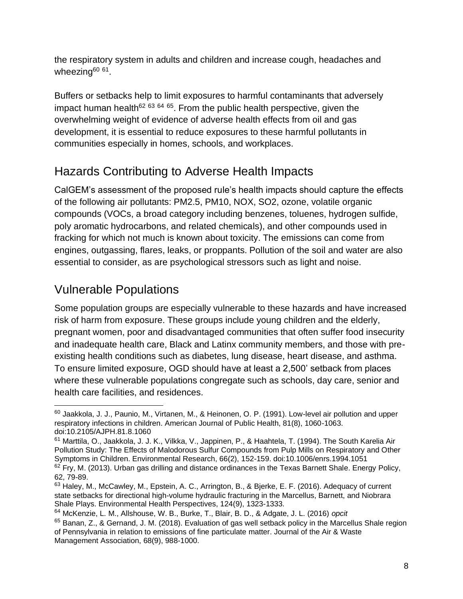the respiratory system in adults and children and increase cough, headaches and wheezing<sup>60 61</sup>.

Buffers or setbacks help to limit exposures to harmful contaminants that adversely impact human health<sup>62 63 64 65</sup>. From the public health perspective, given the overwhelming weight of evidence of adverse health effects from oil and gas development, it is essential to reduce exposures to these harmful pollutants in communities especially in homes, schools, and workplaces.

### Hazards Contributing to Adverse Health Impacts

CalGEM's assessment of the proposed rule's health impacts should capture the effects of the following air pollutants: PM2.5, PM10, NOX, SO2, ozone, volatile organic compounds (VOCs, a broad category including benzenes, toluenes, hydrogen sulfide, poly aromatic hydrocarbons, and related chemicals), and other compounds used in fracking for which not much is known about toxicity. The emissions can come from engines, outgassing, flares, leaks, or proppants. Pollution of the soil and water are also essential to consider, as are psychological stressors such as light and noise.

### Vulnerable Populations

Some population groups are especially vulnerable to these hazards and have increased risk of harm from exposure. These groups include young children and the elderly, pregnant women, poor and disadvantaged communities that often suffer food insecurity and inadequate health care, Black and Latinx community members, and those with preexisting health conditions such as diabetes, lung disease, heart disease, and asthma. To ensure limited exposure, OGD should have at least a 2,500' setback from places where these vulnerable populations congregate such as schools, day care, senior and health care facilities, and residences.

 $60$  Jaakkola, J. J., Paunio, M., Virtanen, M., & Heinonen, O. P. (1991). Low-level air pollution and upper respiratory infections in children. American Journal of Public Health, 81(8), 1060-1063. doi:10.2105/AJPH.81.8.1060

<sup>61</sup> Marttila, O., Jaakkola, J. J. K., Vilkka, V., Jappinen, P., & Haahtela, T. (1994). The South Karelia Air Pollution Study: The Effects of Malodorous Sulfur Compounds from Pulp Mills on Respiratory and Other Symptoms in Children. Environmental Research, 66(2), 152-159. doi:10.1006/enrs.1994.1051  $62$  Fry, M. (2013). Urban gas drilling and distance ordinances in the Texas Barnett Shale. Energy Policy, 62, 79-89.

<sup>63</sup> Haley, M., McCawley, M., Epstein, A. C., Arrington, B., & Bjerke, E. F. (2016). Adequacy of current state setbacks for directional high-volume hydraulic fracturing in the Marcellus, Barnett, and Niobrara Shale Plays. Environmental Health Perspectives, 124(9), 1323-1333.

<sup>64</sup> McKenzie, L. M., Allshouse, W. B., Burke, T., Blair, B. D., & Adgate, J. L. (2016) *opcit*

<sup>&</sup>lt;sup>65</sup> Banan, Z., & Gernand, J. M. (2018). Evaluation of gas well setback policy in the Marcellus Shale region of Pennsylvania in relation to emissions of fine particulate matter. Journal of the Air & Waste Management Association, 68(9), 988-1000.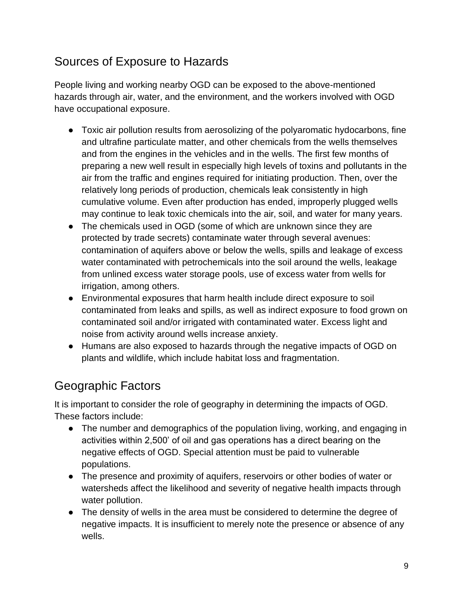### Sources of Exposure to Hazards

People living and working nearby OGD can be exposed to the above-mentioned hazards through air, water, and the environment, and the workers involved with OGD have occupational exposure.

- Toxic air pollution results from aerosolizing of the polyaromatic hydocarbons, fine and ultrafine particulate matter, and other chemicals from the wells themselves and from the engines in the vehicles and in the wells. The first few months of preparing a new well result in especially high levels of toxins and pollutants in the air from the traffic and engines required for initiating production. Then, over the relatively long periods of production, chemicals leak consistently in high cumulative volume. Even after production has ended, improperly plugged wells may continue to leak toxic chemicals into the air, soil, and water for many years.
- The chemicals used in OGD (some of which are unknown since they are protected by trade secrets) contaminate water through several avenues: contamination of aquifers above or below the wells, spills and leakage of excess water contaminated with petrochemicals into the soil around the wells, leakage from unlined excess water storage pools, use of excess water from wells for irrigation, among others.
- Environmental exposures that harm health include direct exposure to soil contaminated from leaks and spills, as well as indirect exposure to food grown on contaminated soil and/or irrigated with contaminated water. Excess light and noise from activity around wells increase anxiety.
- Humans are also exposed to hazards through the negative impacts of OGD on plants and wildlife, which include habitat loss and fragmentation.

### Geographic Factors

It is important to consider the role of geography in determining the impacts of OGD. These factors include:

- The number and demographics of the population living, working, and engaging in activities within 2,500' of oil and gas operations has a direct bearing on the negative effects of OGD. Special attention must be paid to vulnerable populations.
- The presence and proximity of aquifers, reservoirs or other bodies of water or watersheds affect the likelihood and severity of negative health impacts through water pollution.
- The density of wells in the area must be considered to determine the degree of negative impacts. It is insufficient to merely note the presence or absence of any wells.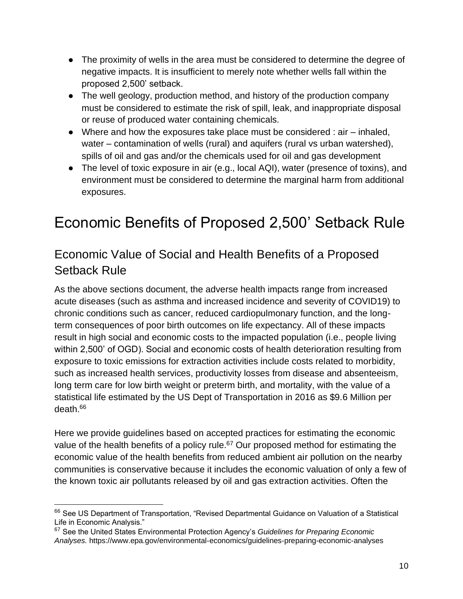- The proximity of wells in the area must be considered to determine the degree of negative impacts. It is insufficient to merely note whether wells fall within the proposed 2,500' setback.
- The well geology, production method, and history of the production company must be considered to estimate the risk of spill, leak, and inappropriate disposal or reuse of produced water containing chemicals.
- $\bullet$  Where and how the exposures take place must be considered : air  $-$  inhaled, water – contamination of wells (rural) and aquifers (rural vs urban watershed), spills of oil and gas and/or the chemicals used for oil and gas development
- The level of toxic exposure in air (e.g., local AQI), water (presence of toxins), and environment must be considered to determine the marginal harm from additional exposures.

# Economic Benefits of Proposed 2,500' Setback Rule

### Economic Value of Social and Health Benefits of a Proposed Setback Rule

As the above sections document, the adverse health impacts range from increased acute diseases (such as asthma and increased incidence and severity of COVID19) to chronic conditions such as cancer, reduced cardiopulmonary function, and the longterm consequences of poor birth outcomes on life expectancy. All of these impacts result in high social and economic costs to the impacted population (i.e., people living within 2,500' of OGD). Social and economic costs of health deterioration resulting from exposure to toxic emissions for extraction activities include costs related to morbidity, such as increased health services, productivity losses from disease and absenteeism, long term care for low birth weight or preterm birth, and mortality, with the value of a statistical life estimated by the US Dept of Transportation in 2016 as \$9.6 Million per death.<sup>66</sup>

Here we provide guidelines based on accepted practices for estimating the economic value of the health benefits of a policy rule.<sup>67</sup> Our proposed method for estimating the economic value of the health benefits from reduced ambient air pollution on the nearby communities is conservative because it includes the economic valuation of only a few of the known toxic air pollutants released by oil and gas extraction activities. Often the

<sup>&</sup>lt;sup>66</sup> See US Department of Transportation, "Revised Departmental Guidance on Valuation of a Statistical Life in Economic Analysis."

<sup>67</sup> See the United States Environmental Protection Agency's *Guidelines for Preparing Economic Analyses.* https://www.epa.gov/environmental-economics/guidelines-preparing-economic-analyses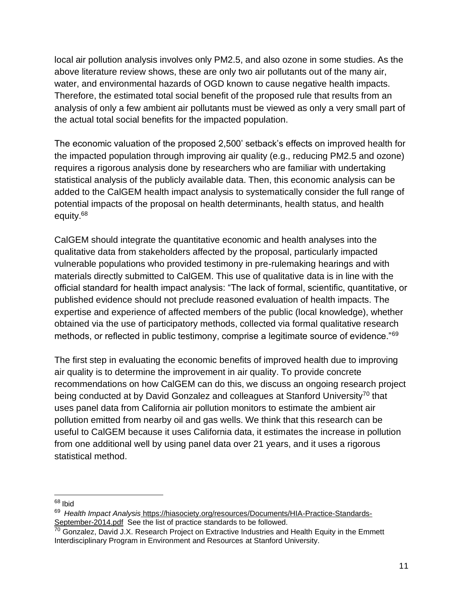local air pollution analysis involves only PM2.5, and also ozone in some studies. As the above literature review shows, these are only two air pollutants out of the many air, water, and environmental hazards of OGD known to cause negative health impacts. Therefore, the estimated total social benefit of the proposed rule that results from an analysis of only a few ambient air pollutants must be viewed as only a very small part of the actual total social benefits for the impacted population.

The economic valuation of the proposed 2,500' setback's effects on improved health for the impacted population through improving air quality (e.g., reducing PM2.5 and ozone) requires a rigorous analysis done by researchers who are familiar with undertaking statistical analysis of the publicly available data. Then, this economic analysis can be added to the CalGEM health impact analysis to systematically consider the full range of potential impacts of the proposal on health determinants, health status, and health equity.<sup>68</sup>

CalGEM should integrate the quantitative economic and health analyses into the qualitative data from stakeholders affected by the proposal, particularly impacted vulnerable populations who provided testimony in pre-rulemaking hearings and with materials directly submitted to CalGEM. This use of qualitative data is in line with the official standard for health impact analysis: "The lack of formal, scientific, quantitative, or published evidence should not preclude reasoned evaluation of health impacts. The expertise and experience of affected members of the public (local knowledge), whether obtained via the use of participatory methods, collected via formal qualitative research methods, or reflected in public testimony, comprise a legitimate source of evidence."<sup>69</sup>

The first step in evaluating the economic benefits of improved health due to improving air quality is to determine the improvement in air quality. To provide concrete recommendations on how CalGEM can do this, we discuss an ongoing research project being conducted at by David Gonzalez and colleagues at Stanford University<sup>70</sup> that uses panel data from California air pollution monitors to estimate the ambient air pollution emitted from nearby oil and gas wells. We think that this research can be useful to CalGEM because it uses California data, it estimates the increase in pollution from one additional well by using panel data over 21 years, and it uses a rigorous statistical method.

<sup>68</sup> Ibid

<sup>69</sup> *Health Impact Analysi[s](https://hiasociety.org/resources/Documents/HIA-Practice-Standards-September-2014.pdf)* [https://hiasociety.org/resources/Documents/HIA-Practice-Standards-](https://hiasociety.org/resources/Documents/HIA-Practice-Standards-September-2014.pdf)[September-2014.pdf](https://hiasociety.org/resources/Documents/HIA-Practice-Standards-September-2014.pdf) See the list of practice standards to be followed.

<sup>&</sup>lt;sup>70</sup> Gonzalez, David J.X. Research Project on Extractive Industries and Health Equity in the Emmett Interdisciplinary Program in Environment and Resources at Stanford University.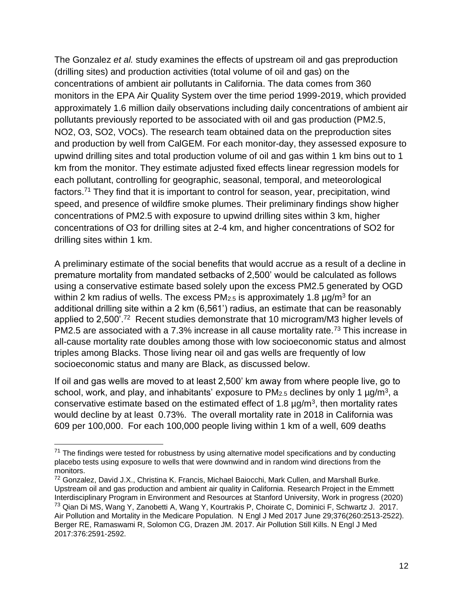The Gonzalez *et al.* study examines the effects of upstream oil and gas preproduction (drilling sites) and production activities (total volume of oil and gas) on the concentrations of ambient air pollutants in California. The data comes from 360 monitors in the EPA Air Quality System over the time period 1999-2019, which provided approximately 1.6 million daily observations including daily concentrations of ambient air pollutants previously reported to be associated with oil and gas production (PM2.5, NO2, O3, SO2, VOCs). The research team obtained data on the preproduction sites and production by well from CalGEM. For each monitor-day, they assessed exposure to upwind drilling sites and total production volume of oil and gas within 1 km bins out to 1 km from the monitor. They estimate adjusted fixed effects linear regression models for each pollutant, controlling for geographic, seasonal, temporal, and meteorological factors.<sup>71</sup> They find that it is important to control for season, year, precipitation, wind speed, and presence of wildfire smoke plumes. Their preliminary findings show higher concentrations of PM2.5 with exposure to upwind drilling sites within 3 km, higher concentrations of O3 for drilling sites at 2-4 km, and higher concentrations of SO2 for drilling sites within 1 km.

A preliminary estimate of the social benefits that would accrue as a result of a decline in premature mortality from mandated setbacks of 2,500' would be calculated as follows using a conservative estimate based solely upon the excess PM2.5 generated by OGD within 2 km radius of wells. The excess PM<sub>2.5</sub> is approximately 1.8  $\mu$ g/m<sup>3</sup> for an additional drilling site within a 2 km (6,561') radius, an estimate that can be reasonably applied to 2,500'.<sup>72</sup> Recent studies demonstrate that 10 microgram/M3 higher levels of PM2.5 are associated with a 7.3% increase in all cause mortality rate.<sup>73</sup> This increase in all-cause mortality rate doubles among those with low socioeconomic status and almost triples among Blacks. Those living near oil and gas wells are frequently of low socioeconomic status and many are Black, as discussed below.

If oil and gas wells are moved to at least 2,500' km away from where people live, go to school, work, and play, and inhabitants' exposure to PM $_{2.5}$  declines by only 1  $\mu$ g/m $^3$ , a conservative estimate based on the estimated effect of 1.8  $\mu$ g/m<sup>3</sup>, then mortality rates would decline by at least 0.73%. The overall mortality rate in 2018 in California was 609 per 100,000. For each 100,000 people living within 1 km of a well, 609 deaths

 $71$  The findings were tested for robustness by using alternative model specifications and by conducting placebo tests using exposure to wells that were downwind and in random wind directions from the monitors.

<sup>&</sup>lt;sup>72</sup> Gonzalez, David J.X., Christina K. Francis, Michael Baiocchi, Mark Cullen, and Marshall Burke. Upstream oil and gas production and ambient air quality in California. Research Project in the Emmett Interdisciplinary Program in Environment and Resources at Stanford University, Work in progress (2020) <sup>73</sup> Qian Di MS, Wang Y, Zanobetti A, Wang Y, Kourtrakis P, Choirate C, Dominici F, Schwartz J. 2017. Air Pollution and Mortality in the Medicare Population. N Engl J Med 2017 June 29;376(260:2513-2522). Berger RE, Ramaswami R, Solomon CG, Drazen JM. 2017. Air Pollution Still Kills. N Engl J Med 2017:376:2591-2592.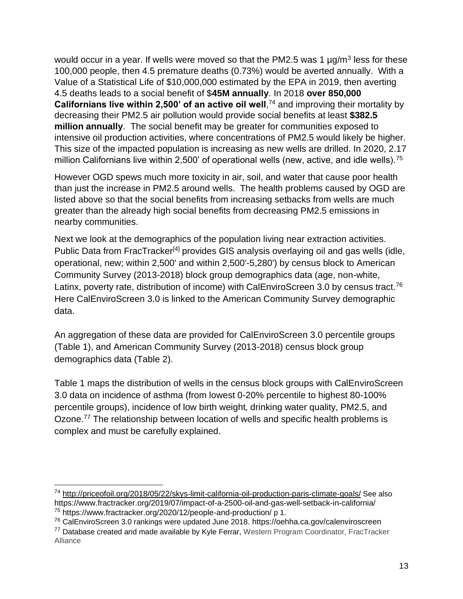would occur in a year. If wells were moved so that the PM2.5 was 1  $\mu$ g/m<sup>3</sup> less for these 100,000 people, then 4.5 premature deaths (0.73%) would be averted annually. With a Value of a Statistical Life of \$10,000,000 estimated by the EPA in 2019, then averting 4.5 deaths leads to a social benefit of \$**45M annually**. In 2018 **over 850,000 Californians live within 2,500' of an active oil well**,<sup>74</sup> and improving their mortality by decreasing their PM2.5 air pollution would provide social benefits at least **\$382.5 million annually**. The social benefit may be greater for communities exposed to intensive oil production activities, where concentrations of PM2.5 would likely be higher. This size of the impacted population is increasing as new wells are drilled. In 2020, 2.17 million Californians live within 2,500' of operational wells (new, active, and idle wells).<sup>75</sup>

However OGD spews much more toxicity in air, soil, and water that cause poor health than just the increase in PM2.5 around wells. The health problems caused by OGD are listed above so that the social benefits from increasing setbacks from wells are much greater than the already high social benefits from decreasing PM2.5 emissions in nearby communities.

Next we look at the demographics of the population living near extraction activities. Public Data from FracTracker<sup>[4]</sup> provides GIS analysis overlaying oil and gas wells (idle, operational, new; within 2,500' and within 2,500'-5,280') by census block to American Community Survey (2013-2018) block group demographics data (age, non-white, Latinx, poverty rate, distribution of income) with CalEnviroScreen 3.0 by census tract.<sup>76</sup> Here CalEnviroScreen 3.0 is linked to the American Community Survey demographic data.

An aggregation of these data are provided for CalEnviroScreen 3.0 percentile groups (Table 1), and American Community Survey (2013-2018) census block group demographics data (Table 2).

Table 1 maps the distribution of wells in the census block groups with CalEnviroScreen 3.0 data on incidence of asthma (from lowest 0-20% percentile to highest 80-100% percentile groups), incidence of low birth weight, drinking water quality, PM2.5, and Ozone.<sup>77</sup> The relationship between location of wells and specific health problems is complex and must be carefully explained.

<sup>74</sup> <http://priceofoil.org/2018/05/22/skys-limit-california-oil-production-paris-climate-goals/> See also <https://www.fractracker.org/2019/07/impact-of-a-2500-oil-and-gas-well-setback-in-california/> <sup>75</sup> <https://www.fractracker.org/2020/12/people-and-production/> p 1.

<sup>76</sup> CalEnviroScreen 3.0 rankings were updated June 2018. <https://oehha.ca.gov/calenviroscreen>

<sup>&</sup>lt;sup>77</sup> Database created and made available by Kyle Ferrar, Western Program Coordinator, FracTracker Alliance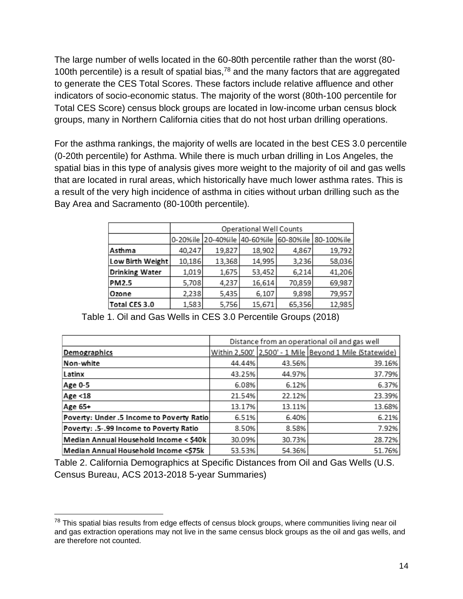The large number of wells located in the 60-80th percentile rather than the worst (80- 100th percentile) is a result of spatial bias, $78$  and the many factors that are aggregated to generate the CES Total Scores. These factors include relative affluence and other indicators of socio-economic status. The majority of the worst (80th-100 percentile for Total CES Score) census block groups are located in low-income urban census block groups, many in Northern California cities that do not host urban drilling operations.

For the asthma rankings, the majority of wells are located in the best CES 3.0 percentile (0-20th percentile) for Asthma. While there is much urban drilling in Los Angeles, the spatial bias in this type of analysis gives more weight to the majority of oil and gas wells that are located in rural areas, which historically have much lower asthma rates. This is a result of the very high incidence of asthma in cities without urban drilling such as the Bay Area and Sacramento (80-100th percentile).

|                       | Operational Well Counts |                              |        |        |                      |  |  |
|-----------------------|-------------------------|------------------------------|--------|--------|----------------------|--|--|
|                       |                         | 0-20%ile 20-40%ile 40-60%ile |        |        | 60-80%ile 80-100%ile |  |  |
| Asthma                | 40,247                  | 19,827                       | 18,902 | 4,867  | 19,792               |  |  |
| Low Birth Weight      | 10,186                  | 13,368                       | 14,995 | 3,236  | 58,036               |  |  |
| <b>Drinking Water</b> | 1,019                   | 1,675                        | 53,452 | 6,214  | 41,206               |  |  |
| <b>PM2.5</b>          | 5,708                   | 4,237                        | 16,614 | 70,859 | 69,987               |  |  |
| Ozone                 | 2,238                   | 5,435                        | 6,107  | 9,898  | 79,957               |  |  |
| Total CES 3.0         | 1,583                   | 5,756                        | 15,671 | 65,356 | 12,985               |  |  |

|                                           | Distance from an operational oil and gas well |        |                                                         |
|-------------------------------------------|-----------------------------------------------|--------|---------------------------------------------------------|
| <b>Demographics</b>                       |                                               |        | Within 2,500' 2,500' - 1 Mile Beyond 1 Mile (Statewide) |
| Non-white                                 | 44.44%                                        | 43.56% | 39.16%                                                  |
| Latinx                                    | 43.25%                                        | 44.97% | 37.79%                                                  |
| Age 0-5                                   | 6.08%                                         | 6.12%  | 6.37%                                                   |
| Age <18                                   | 21.54%                                        | 22.12% | 23.39%                                                  |
| Age 65+                                   | 13.17%                                        | 13.11% | 13.68%                                                  |
| Poverty: Under .5 Income to Poverty Ratio | 6.51%                                         | 6.40%  | 6.21%                                                   |
| Poverty: .5-.99 Income to Poverty Ratio   | 8.50%                                         | 8.58%  | 7.92%                                                   |
| Median Annual Household Income < \$40k    | 30.09%                                        | 30.73% | 28.72%                                                  |
| Median Annual Household Income <\$75k     | 53.53%                                        | 54.36% | 51.76%                                                  |

Table 1. Oil and Gas Wells in CES 3.0 Percentile Groups (2018)

Table 2. California Demographics at Specific Distances from Oil and Gas Wells (U.S. Census Bureau, ACS 2013-2018 5-year Summaries)

<sup>&</sup>lt;sup>78</sup> This spatial bias results from edge effects of census block groups, where communities living near oil and gas extraction operations may not live in the same census block groups as the oil and gas wells, and are therefore not counted.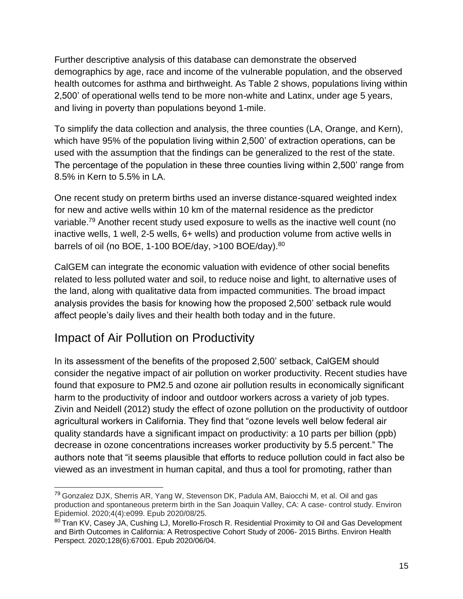Further descriptive analysis of this database can demonstrate the observed demographics by age, race and income of the vulnerable population, and the observed health outcomes for asthma and birthweight. As Table 2 shows, populations living within 2,500' of operational wells tend to be more non-white and Latinx, under age 5 years, and living in poverty than populations beyond 1-mile.

To simplify the data collection and analysis, the three counties (LA, Orange, and Kern), which have 95% of the population living within 2,500' of extraction operations, can be used with the assumption that the findings can be generalized to the rest of the state. The percentage of the population in these three counties living within 2,500' range from 8.5% in Kern to 5.5% in LA.

One recent study on preterm births used an inverse distance-squared weighted index for new and active wells within 10 km of the maternal residence as the predictor variable.<sup>79</sup> Another recent study used exposure to wells as the inactive well count (no inactive wells, 1 well, 2-5 wells, 6+ wells) and production volume from active wells in barrels of oil (no BOE, 1-100 BOE/day, >100 BOE/day).<sup>80</sup>

CalGEM can integrate the economic valuation with evidence of other social benefits related to less polluted water and soil, to reduce noise and light, to alternative uses of the land, along with qualitative data from impacted communities. The broad impact analysis provides the basis for knowing how the proposed 2,500' setback rule would affect people's daily lives and their health both today and in the future.

### Impact of Air Pollution on Productivity

In its assessment of the benefits of the proposed 2,500' setback, CalGEM should consider the negative impact of air pollution on worker productivity. Recent studies have found that exposure to PM2.5 and ozone air pollution results in economically significant harm to the productivity of indoor and outdoor workers across a variety of job types. Zivin and Neidell (2012) study the effect of ozone pollution on the productivity of outdoor agricultural workers in California. They find that "ozone levels well below federal air quality standards have a significant impact on productivity: a 10 parts per billion (ppb) decrease in ozone concentrations increases worker productivity by 5.5 percent." The authors note that "it seems plausible that efforts to reduce pollution could in fact also be viewed as an investment in human capital, and thus a tool for promoting, rather than

<sup>&</sup>lt;sup>79</sup> Gonzalez DJX, Sherris AR, Yang W, Stevenson DK, Padula AM, Baiocchi M, et al. Oil and gas production and spontaneous preterm birth in the San Joaquin Valley, CA: A case- control study. Environ Epidemiol. 2020;4(4):e099. Epub 2020/08/25.

<sup>80</sup> Tran KV, Casey JA, Cushing LJ, Morello-Frosch R. Residential Proximity to Oil and Gas Development and Birth Outcomes in California: A Retrospective Cohort Study of 2006- 2015 Births. Environ Health Perspect. 2020;128(6):67001. Epub 2020/06/04.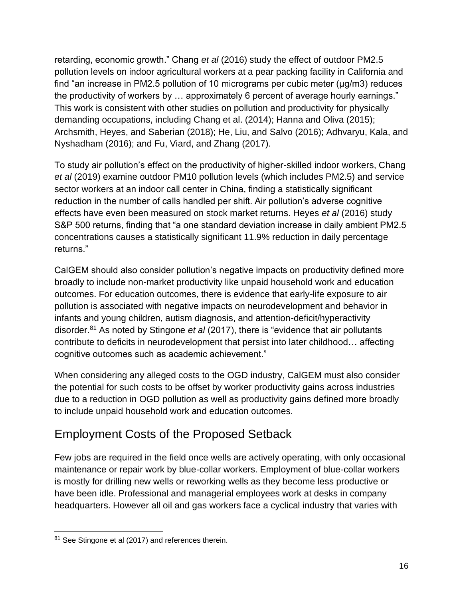retarding, economic growth." Chang *et al* (2016) study the effect of outdoor PM2.5 pollution levels on indoor agricultural workers at a pear packing facility in California and find "an increase in PM2.5 pollution of 10 micrograms per cubic meter (µg/m3) reduces the productivity of workers by … approximately 6 percent of average hourly earnings." This work is consistent with other studies on pollution and productivity for physically demanding occupations, including Chang et al. (2014); Hanna and Oliva (2015); Archsmith, Heyes, and Saberian (2018); He, Liu, and Salvo (2016); Adhvaryu, Kala, and Nyshadham (2016); and Fu, Viard, and Zhang (2017).

To study air pollution's effect on the productivity of higher-skilled indoor workers, Chang *et al* (2019) examine outdoor PM10 pollution levels (which includes PM2.5) and service sector workers at an indoor call center in China, finding a statistically significant reduction in the number of calls handled per shift. Air pollution's adverse cognitive effects have even been measured on stock market returns. Heyes *et al* (2016) study S&P 500 returns, finding that "a one standard deviation increase in daily ambient PM2.5 concentrations causes a statistically significant 11.9% reduction in daily percentage returns."

CalGEM should also consider pollution's negative impacts on productivity defined more broadly to include non-market productivity like unpaid household work and education outcomes. For education outcomes, there is evidence that early-life exposure to air pollution is associated with negative impacts on neurodevelopment and behavior in infants and young children, autism diagnosis, and attention-deficit/hyperactivity disorder.<sup>81</sup> As noted by Stingone *et al* (2017), there is "evidence that air pollutants contribute to deficits in neurodevelopment that persist into later childhood… affecting cognitive outcomes such as academic achievement."

When considering any alleged costs to the OGD industry, CalGEM must also consider the potential for such costs to be offset by worker productivity gains across industries due to a reduction in OGD pollution as well as productivity gains defined more broadly to include unpaid household work and education outcomes.

### Employment Costs of the Proposed Setback

Few jobs are required in the field once wells are actively operating, with only occasional maintenance or repair work by blue-collar workers. Employment of blue-collar workers is mostly for drilling new wells or reworking wells as they become less productive or have been idle. Professional and managerial employees work at desks in company headquarters. However all oil and gas workers face a cyclical industry that varies with

<sup>&</sup>lt;sup>81</sup> See Stingone et al (2017) and references therein.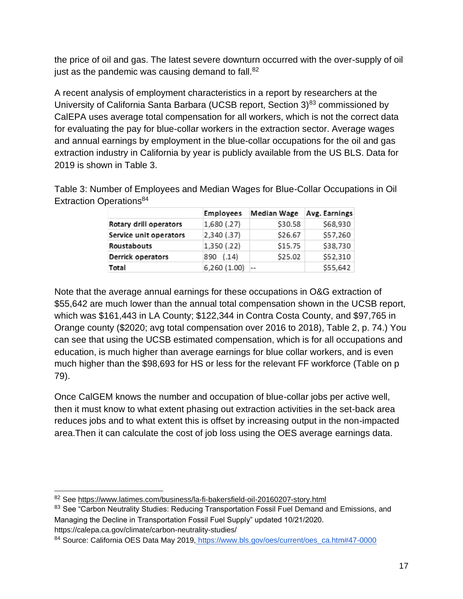the price of oil and gas. The latest severe downturn occurred with the over-supply of oil just as the pandemic was causing demand to fall. $82$ 

A recent analysis of employment characteristics in a report by researchers at the University of California Santa Barbara (UCSB report, Section  $3)^{83}$  commissioned by CalEPA uses average total compensation for all workers, which is not the correct data for evaluating the pay for blue-collar workers in the extraction sector. Average wages and annual earnings by employment in the blue-collar occupations for the oil and gas extraction industry in California by year is publicly available from the US BLS. Data for 2019 is shown in Table 3.

|                        | <b>Employees</b> | <b>Median Wage</b> | Avg. Earnings |
|------------------------|------------------|--------------------|---------------|
| Rotary drill operators | 1,680 (.27)      | \$30.58            | \$68,930      |
| Service unit operators | 2,340 (.37)      | \$26.67            | \$57,260      |
| <b>Roustabouts</b>     | 1,350 (.22)      | \$15.75            | \$38,730      |
| Derrick operators      | 890 (.14)        | \$25.02            | \$52,310      |
| Total                  | 6,260(1.00)      |                    | \$55,642      |

Table 3: Number of Employees and Median Wages for Blue-Collar Occupations in Oil Extraction Operations<sup>84</sup>

Note that the average annual earnings for these occupations in O&G extraction of \$55,642 are much lower than the annual total compensation shown in the UCSB report, which was \$161,443 in LA County; \$122,344 in Contra Costa County, and \$97,765 in Orange county (\$2020; avg total compensation over 2016 to 2018), Table 2, p. 74.) You can see that using the UCSB estimated compensation, which is for all occupations and education, is much higher than average earnings for blue collar workers, and is even much higher than the \$98,693 for HS or less for the relevant FF workforce (Table on p 79).

Once CalGEM knows the number and occupation of blue-collar jobs per active well, then it must know to what extent phasing out extraction activities in the set-back area reduces jobs and to what extent this is offset by increasing output in the non-impacted area.Then it can calculate the cost of job loss using the OES average earnings data.

<sup>82</sup> See https://www.latimes.com/business/la-fi-bakersfield-oil-20160207-story.html

<sup>83</sup> See "Carbon Neutrality Studies: Reducing Transportation Fossil Fuel Demand and Emissions, and Managing the Decline in Transportation Fossil Fuel Supply" updated 10/21/2020. https://calepa.ca.gov/climate/carbon-neutrality-studies/

<sup>84</sup> Source: California OES Data May 2019, [https://www.bls.gov/oes/current/oes\\_ca.htm#47-0000](https://www.bls.gov/oes/current/oes_ca.htm#47-0000)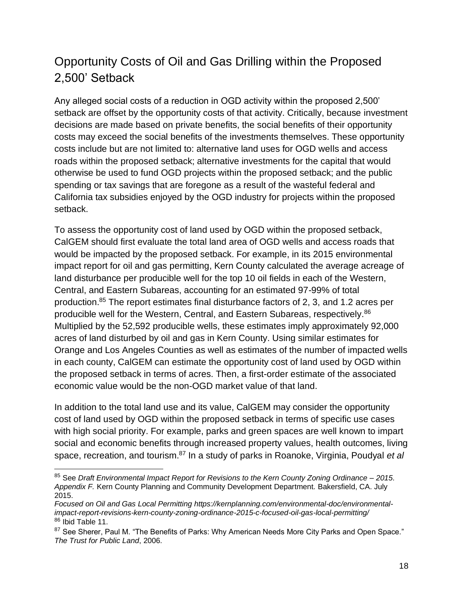### Opportunity Costs of Oil and Gas Drilling within the Proposed 2,500' Setback

Any alleged social costs of a reduction in OGD activity within the proposed 2,500' setback are offset by the opportunity costs of that activity. Critically, because investment decisions are made based on private benefits, the social benefits of their opportunity costs may exceed the social benefits of the investments themselves. These opportunity costs include but are not limited to: alternative land uses for OGD wells and access roads within the proposed setback; alternative investments for the capital that would otherwise be used to fund OGD projects within the proposed setback; and the public spending or tax savings that are foregone as a result of the wasteful federal and California tax subsidies enjoyed by the OGD industry for projects within the proposed setback.

To assess the opportunity cost of land used by OGD within the proposed setback, CalGEM should first evaluate the total land area of OGD wells and access roads that would be impacted by the proposed setback. For example, in its 2015 environmental impact report for oil and gas permitting, Kern County calculated the average acreage of land disturbance per producible well for the top 10 oil fields in each of the Western, Central, and Eastern Subareas, accounting for an estimated 97-99% of total production.<sup>85</sup> The report estimates final disturbance factors of 2, 3, and 1.2 acres per producible well for the Western, Central, and Eastern Subareas, respectively.<sup>86</sup> Multiplied by the 52,592 producible wells, these estimates imply approximately 92,000 acres of land disturbed by oil and gas in Kern County. Using similar estimates for Orange and Los Angeles Counties as well as estimates of the number of impacted wells in each county, CalGEM can estimate the opportunity cost of land used by OGD within the proposed setback in terms of acres. Then, a first-order estimate of the associated economic value would be the non-OGD market value of that land.

In addition to the total land use and its value, CalGEM may consider the opportunity cost of land used by OGD within the proposed setback in terms of specific use cases with high social priority. For example, parks and green spaces are well known to impart social and economic benefits through increased property values, health outcomes, living space, recreation, and tourism.<sup>87</sup> In a study of parks in Roanoke, Virginia, Poudyal *et al*

<sup>85</sup> See *Draft Environmental Impact Report for Revisions to the Kern County Zoning Ordinance – 2015. Appendix F.* Kern County Planning and Community Development Department*.* Bakersfield, CA. July 2015.

*Focused on Oil and Gas Local Permitting https://kernplanning.com/environmental-doc/environmentalimpact-report-revisions-kern-county-zoning-ordinance-2015-c-focused-oil-gas-local-permitting/* 86 Ibid Table 11.

<sup>&</sup>lt;sup>87</sup> See Sherer, Paul M. "The Benefits of Parks: Why American Needs More City Parks and Open Space." *The Trust for Public Land*, 2006.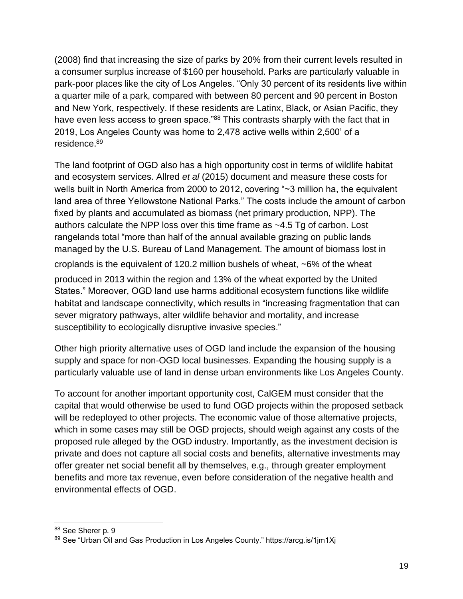(2008) find that increasing the size of parks by 20% from their current levels resulted in a consumer surplus increase of \$160 per household. Parks are particularly valuable in park-poor places like the city of Los Angeles. "Only 30 percent of its residents live within a quarter mile of a park, compared with between 80 percent and 90 percent in Boston and New York, respectively. If these residents are Latinx, Black, or Asian Pacific, they have even less access to green space."88 This contrasts sharply with the fact that in 2019, Los Angeles County was home to 2,478 active wells within 2,500' of a residence.<sup>89</sup>

The land footprint of OGD also has a high opportunity cost in terms of wildlife habitat and ecosystem services. Allred *et al* (2015) document and measure these costs for wells built in North America from 2000 to 2012, covering "~3 million ha, the equivalent land area of three Yellowstone National Parks." The costs include the amount of carbon fixed by plants and accumulated as biomass (net primary production, NPP). The authors calculate the NPP loss over this time frame as ~4.5 Tg of carbon. Lost rangelands total "more than half of the annual available grazing on public lands managed by the U.S. Bureau of Land Management. The amount of biomass lost in

croplands is the equivalent of 120.2 million bushels of wheat, ∼6% of the wheat

produced in 2013 within the region and 13% of the wheat exported by the United States." Moreover, OGD land use harms additional ecosystem functions like wildlife habitat and landscape connectivity, which results in "increasing fragmentation that can sever migratory pathways, alter wildlife behavior and mortality, and increase susceptibility to ecologically disruptive invasive species."

Other high priority alternative uses of OGD land include the expansion of the housing supply and space for non-OGD local businesses. Expanding the housing supply is a particularly valuable use of land in dense urban environments like Los Angeles County.

To account for another important opportunity cost, CalGEM must consider that the capital that would otherwise be used to fund OGD projects within the proposed setback will be redeployed to other projects. The economic value of those alternative projects, which in some cases may still be OGD projects, should weigh against any costs of the proposed rule alleged by the OGD industry. Importantly, as the investment decision is private and does not capture all social costs and benefits, alternative investments may offer greater net social benefit all by themselves, e.g., through greater employment benefits and more tax revenue, even before consideration of the negative health and environmental effects of OGD.

<sup>88</sup> See Sherer p. 9

<sup>89</sup> See "Urban Oil and Gas Production in Los Angeles County." https://arcg.is/1jm1Xj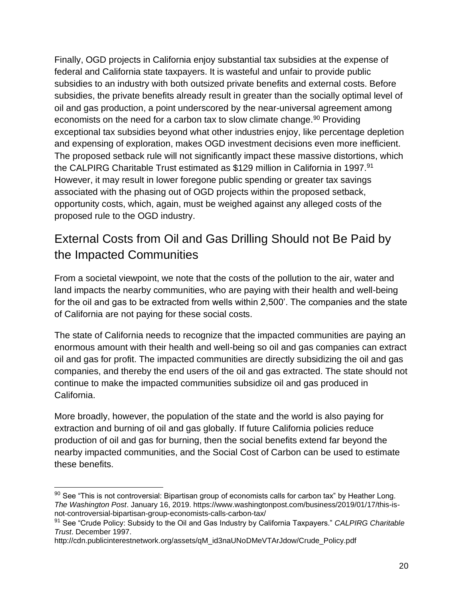Finally, OGD projects in California enjoy substantial tax subsidies at the expense of federal and California state taxpayers. It is wasteful and unfair to provide public subsidies to an industry with both outsized private benefits and external costs. Before subsidies, the private benefits already result in greater than the socially optimal level of oil and gas production, a point underscored by the near-universal agreement among economists on the need for a carbon tax to slow climate change.<sup>90</sup> Providing exceptional tax subsidies beyond what other industries enjoy, like percentage depletion and expensing of exploration, makes OGD investment decisions even more inefficient. The proposed setback rule will not significantly impact these massive distortions, which the CALPIRG Charitable Trust estimated as \$129 million in California in 1997.<sup>91</sup> However, it may result in lower foregone public spending or greater tax savings associated with the phasing out of OGD projects within the proposed setback, opportunity costs, which, again, must be weighed against any alleged costs of the proposed rule to the OGD industry.

### External Costs from Oil and Gas Drilling Should not Be Paid by the Impacted Communities

From a societal viewpoint, we note that the costs of the pollution to the air, water and land impacts the nearby communities, who are paying with their health and well-being for the oil and gas to be extracted from wells within 2,500'. The companies and the state of California are not paying for these social costs.

The state of California needs to recognize that the impacted communities are paying an enormous amount with their health and well-being so oil and gas companies can extract oil and gas for profit. The impacted communities are directly subsidizing the oil and gas companies, and thereby the end users of the oil and gas extracted. The state should not continue to make the impacted communities subsidize oil and gas produced in California.

More broadly, however, the population of the state and the world is also paying for extraction and burning of oil and gas globally. If future California policies reduce production of oil and gas for burning, then the social benefits extend far beyond the nearby impacted communities, and the Social Cost of Carbon can be used to estimate these benefits.

 $90$  See "This is not controversial: Bipartisan group of economists calls for carbon tax" by Heather Long. *The Washington Post*. January 16, 2019. https://www.washingtonpost.com/business/2019/01/17/this-isnot-controversial-bipartisan-group-economists-calls-carbon-tax/

<sup>91</sup> See "Crude Policy: Subsidy to the Oil and Gas Industry by California Taxpayers." *CALPIRG Charitable Trust*. December 1997.

http://cdn.publicinterestnetwork.org/assets/qM\_id3naUNoDMeVTArJdow/Crude\_Policy.pdf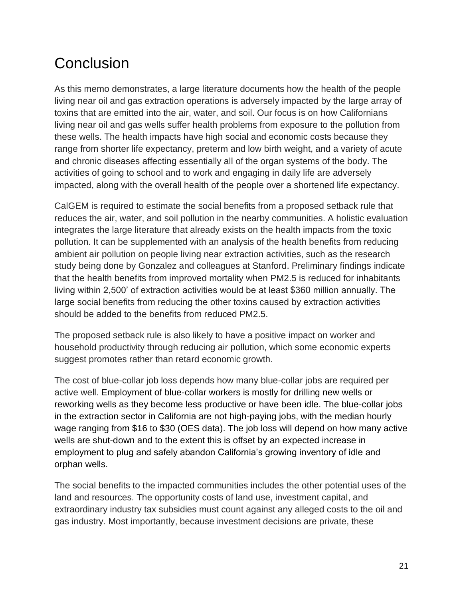### **Conclusion**

As this memo demonstrates, a large literature documents how the health of the people living near oil and gas extraction operations is adversely impacted by the large array of toxins that are emitted into the air, water, and soil. Our focus is on how Californians living near oil and gas wells suffer health problems from exposure to the pollution from these wells. The health impacts have high social and economic costs because they range from shorter life expectancy, preterm and low birth weight, and a variety of acute and chronic diseases affecting essentially all of the organ systems of the body. The activities of going to school and to work and engaging in daily life are adversely impacted, along with the overall health of the people over a shortened life expectancy.

CalGEM is required to estimate the social benefits from a proposed setback rule that reduces the air, water, and soil pollution in the nearby communities. A holistic evaluation integrates the large literature that already exists on the health impacts from the toxic pollution. It can be supplemented with an analysis of the health benefits from reducing ambient air pollution on people living near extraction activities, such as the research study being done by Gonzalez and colleagues at Stanford. Preliminary findings indicate that the health benefits from improved mortality when PM2.5 is reduced for inhabitants living within 2,500' of extraction activities would be at least \$360 million annually. The large social benefits from reducing the other toxins caused by extraction activities should be added to the benefits from reduced PM2.5.

The proposed setback rule is also likely to have a positive impact on worker and household productivity through reducing air pollution, which some economic experts suggest promotes rather than retard economic growth.

The cost of blue-collar job loss depends how many blue-collar jobs are required per active well. Employment of blue-collar workers is mostly for drilling new wells or reworking wells as they become less productive or have been idle. The blue-collar jobs in the extraction sector in California are not high-paying jobs, with the median hourly wage ranging from \$16 to \$30 (OES data). The job loss will depend on how many active wells are shut-down and to the extent this is offset by an expected increase in employment to plug and safely abandon California's growing inventory of idle and orphan wells.

The social benefits to the impacted communities includes the other potential uses of the land and resources. The opportunity costs of land use, investment capital, and extraordinary industry tax subsidies must count against any alleged costs to the oil and gas industry. Most importantly, because investment decisions are private, these